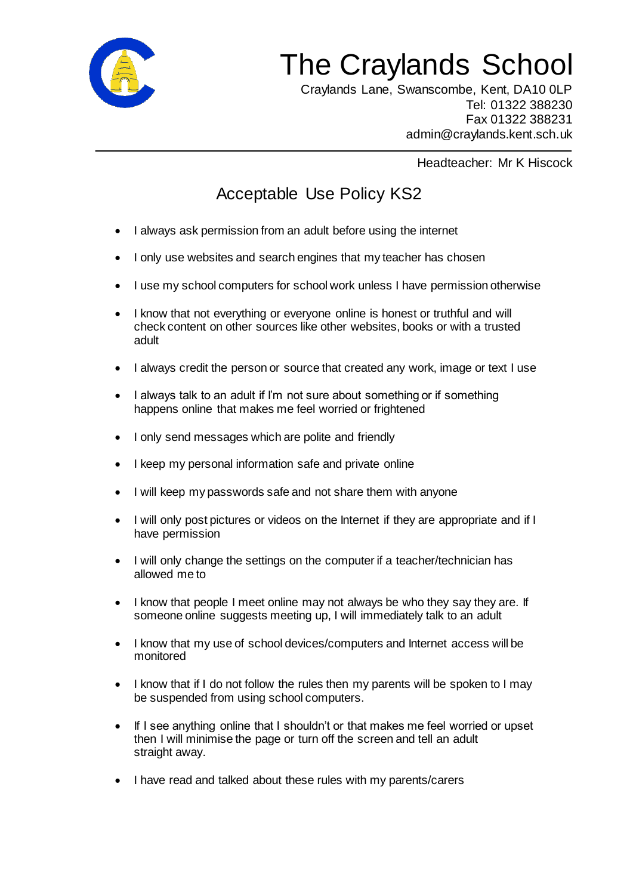

## The Craylands School

 Craylands Lane, Swanscombe, Kent, DA10 0LP Tel: 01322 388230 Fax 01322 388231 admin@craylands.kent.sch.uk

Headteacher: Mr K Hiscock

## Acceptable Use Policy KS2

- I always ask permission from an adult before using the internet
- I only use websites and search engines that my teacher has chosen
- I use my school computers for school work unless I have permission otherwise
- I know that not everything or everyone online is honest or truthful and will check content on other sources like other websites, books or with a trusted adult
- I always credit the person or source that created any work, image or text I use
- I always talk to an adult if I'm not sure about something or if something happens online that makes me feel worried or frightened
- I only send messages which are polite and friendly
- I keep my personal information safe and private online
- I will keep my passwords safe and not share them with anyone
- I will only post pictures or videos on the Internet if they are appropriate and if I have permission
- I will only change the settings on the computer if a teacher/technician has allowed me to
- I know that people I meet online may not always be who they say they are. If someone online suggests meeting up, I will immediately talk to an adult
- I know that my use of school devices/computers and Internet access will be monitored
- I know that if I do not follow the rules then my parents will be spoken to I may be suspended from using school computers.
- If I see anything online that I shouldn't or that makes me feel worried or upset then I will minimise the page or turn off the screen and tell an adult straight away.
- I have read and talked about these rules with my parents/carers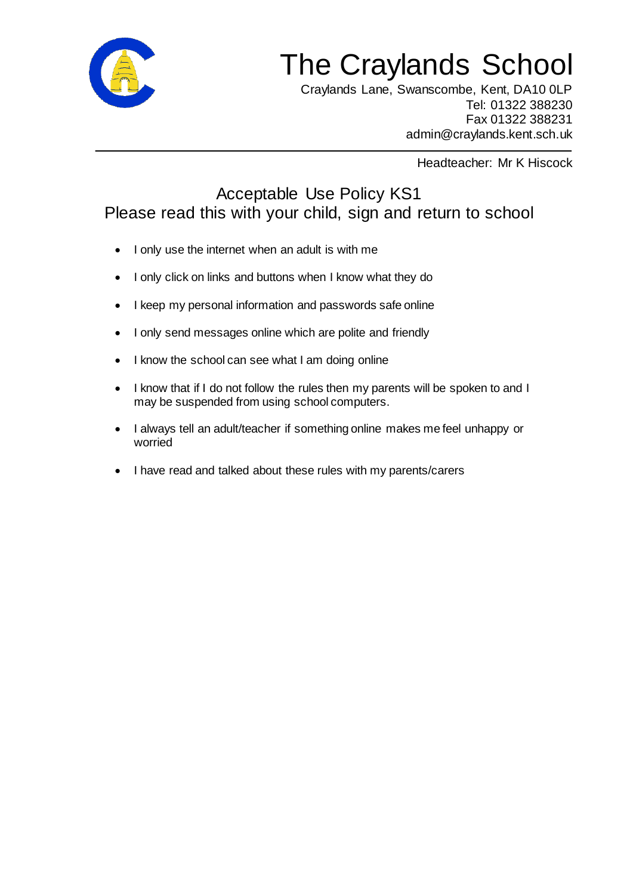

## The Craylands School

 Craylands Lane, Swanscombe, Kent, DA10 0LP Tel: 01322 388230 Fax 01322 388231 admin@craylands.kent.sch.uk

Headteacher: Mr K Hiscock

## Acceptable Use Policy KS1 Please read this with your child, sign and return to school

- I only use the internet when an adult is with me
- I only click on links and buttons when I know what they do
- I keep my personal information and passwords safe online
- I only send messages online which are polite and friendly
- I know the school can see what I am doing online
- I know that if I do not follow the rules then my parents will be spoken to and I may be suspended from using school computers.
- I always tell an adult/teacher if something online makes me feel unhappy or worried
- I have read and talked about these rules with my parents/carers